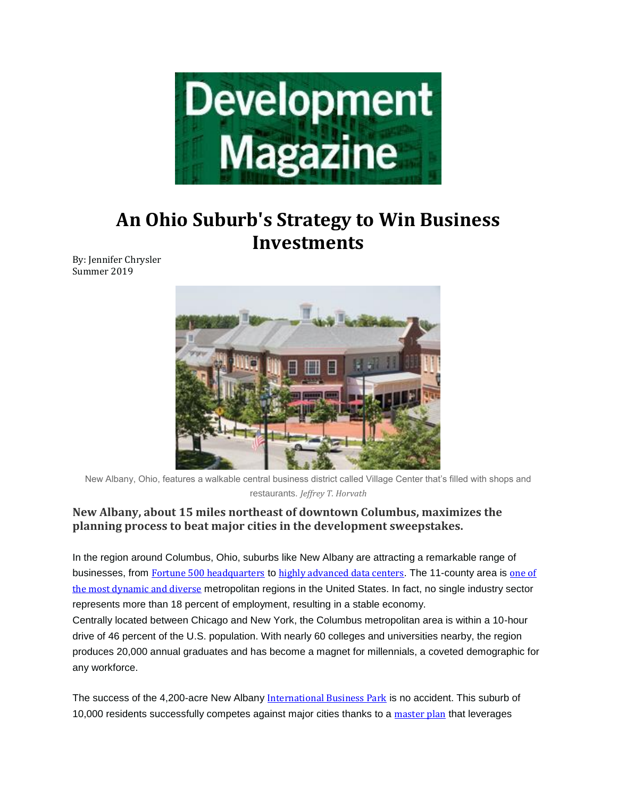

# **An Ohio Suburb's Strategy to Win Business Investments**

By: Jennifer Chrysler Summer 2019



New Albany, Ohio, features a walkable central business district called Village Center that's filled with shops and restaurants. *Jeffrey T. Horvath*

### **New Albany, about 15 miles northeast of downtown Columbus, maximizes the planning process to beat major cities in the development sweepstakes.**

In the region around Columbus, Ohio, suburbs like New Albany are attracting a remarkable range of businesses, from Fortune 500 [headquarters](https://newalbanybusiness.org/major-industries/major-employers/) to highly [advanced](https://newalbanybusiness.org/news/2017/08/facebook-chooses-new-albany-international-business-park-to-build-one-of-the-most-advanced-data-centers-in-the-world/) data centers. The 11-county area is [one](https://columbusregion.com/doing-business/regional-overview/) of the most [dynamic](https://columbusregion.com/doing-business/regional-overview/) and diverse metropolitan regions in the United States. In fact, no single industry sector represents more than 18 percent of employment, resulting in a stable economy.

Centrally located between Chicago and New York, the Columbus metropolitan area is within a 10-hour drive of 46 percent of the U.S. population. With nearly 60 colleges and universities nearby, the region produces 20,000 annual graduates and has become a magnet for millennials, a coveted demographic for any workforce.

The success of the 4,200-acre New Albany [International](https://newalbanyohio.org/stories/new-albany-international-business-park/) Business Park is no accident. This suburb of 10,000 residents successfully competes against major cities thanks to a [master](https://newalbanybusiness.org/news/2018/06/new-albany-international-business-park-overview-2018/) plan that leverages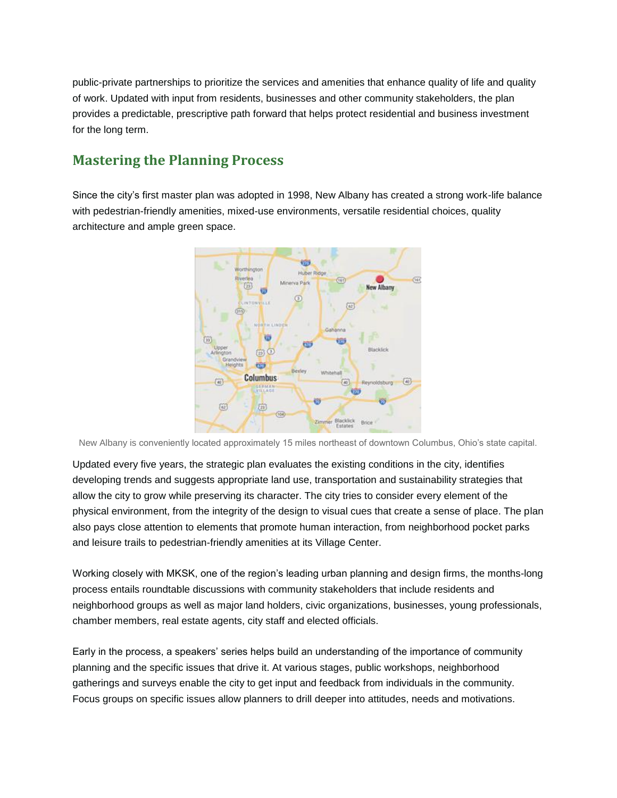public-private partnerships to prioritize the services and amenities that enhance quality of life and quality of work. Updated with input from residents, businesses and other community stakeholders, the plan provides a predictable, prescriptive path forward that helps protect residential and business investment for the long term.

# **Mastering the Planning Process**

Since the city's first master plan was adopted in 1998, New Albany has created a strong work-life balance with pedestrian-friendly amenities, mixed-use environments, versatile residential choices, quality architecture and ample green space.



New Albany is conveniently located approximately 15 miles northeast of downtown Columbus, Ohio's state capital.

Updated every five years, the strategic plan evaluates the existing conditions in the city, identifies developing trends and suggests appropriate land use, transportation and sustainability strategies that allow the city to grow while preserving its character. The city tries to consider every element of the physical environment, from the integrity of the design to visual cues that create a sense of place. The plan also pays close attention to elements that promote human interaction, from neighborhood pocket parks and leisure trails to pedestrian-friendly amenities at its Village Center.

Working closely with MKSK, one of the region's leading urban planning and design firms, the months-long process entails roundtable discussions with community stakeholders that include residents and neighborhood groups as well as major land holders, civic organizations, businesses, young professionals, chamber members, real estate agents, city staff and elected officials.

Early in the process, a speakers' series helps build an understanding of the importance of community planning and the specific issues that drive it. At various stages, public workshops, neighborhood gatherings and surveys enable the city to get input and feedback from individuals in the community. Focus groups on specific issues allow planners to drill deeper into attitudes, needs and motivations.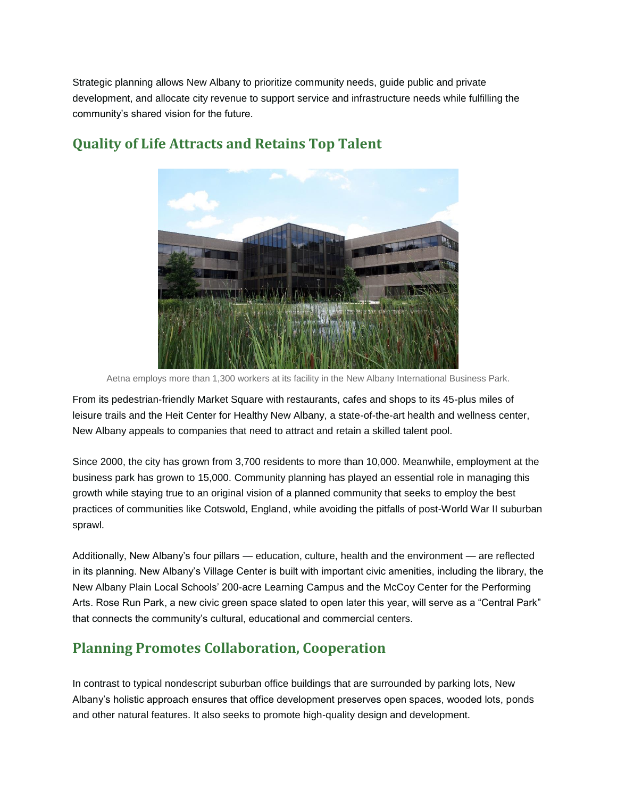Strategic planning allows New Albany to prioritize community needs, guide public and private development, and allocate city revenue to support service and infrastructure needs while fulfilling the community's shared vision for the future.



# **Quality of Life Attracts and Retains Top Talent**

Aetna employs more than 1,300 workers at its facility in the New Albany International Business Park.

From its pedestrian-friendly Market Square with restaurants, cafes and shops to its 45-plus miles of leisure trails and the Heit Center for Healthy New Albany, a state-of-the-art health and wellness center, New Albany appeals to companies that need to attract and retain a skilled talent pool.

Since 2000, the city has grown from 3,700 residents to more than 10,000. Meanwhile, employment at the business park has grown to 15,000. Community planning has played an essential role in managing this growth while staying true to an original vision of a planned community that seeks to employ the best practices of communities like Cotswold, England, while avoiding the pitfalls of post-World War II suburban sprawl.

Additionally, New Albany's four pillars — education, culture, health and the environment — are reflected in its planning. New Albany's Village Center is built with important civic amenities, including the library, the New Albany Plain Local Schools' 200-acre Learning Campus and the McCoy Center for the Performing Arts. Rose Run Park, a new civic green space slated to open later this year, will serve as a "Central Park" that connects the community's cultural, educational and commercial centers.

# **Planning Promotes Collaboration, Cooperation**

In contrast to typical nondescript suburban office buildings that are surrounded by parking lots, New Albany's holistic approach ensures that office development preserves open spaces, wooded lots, ponds and other natural features. It also seeks to promote high-quality design and development.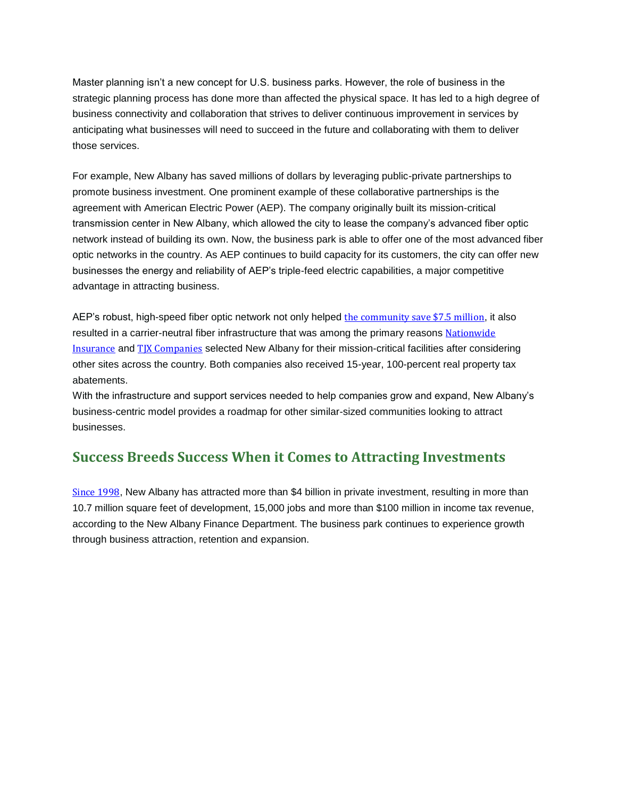Master planning isn't a new concept for U.S. business parks. However, the role of business in the strategic planning process has done more than affected the physical space. It has led to a high degree of business connectivity and collaboration that strives to deliver continuous improvement in services by anticipating what businesses will need to succeed in the future and collaborating with them to deliver those services.

For example, New Albany has saved millions of dollars by leveraging public-private partnerships to promote business investment. One prominent example of these collaborative partnerships is the agreement with American Electric Power (AEP). The company originally built its mission-critical transmission center in New Albany, which allowed the city to lease the company's advanced fiber optic network instead of building its own. Now, the business park is able to offer one of the most advanced fiber optic networks in the country. As AEP continues to build capacity for its customers, the city can offer new businesses the energy and reliability of AEP's triple-feed electric capabilities, a major competitive advantage in attracting business.

AEP's robust, high-speed fiber optic network not only helped the [community](https://newalbanyohio.org/answers/economic-development/) save \$7.5 million, it also resulted in a carrier-neutral fiber infrastructure that was among the primary reasons [Nationwide](https://www.nationwide.com/) [Insurance](https://www.nationwide.com/) and TJX [Companies](http://www.tjx.com/home) selected New Albany for their mission-critical facilities after considering other sites across the country. Both companies also received 15-year, 100-percent real property tax abatements.

With the infrastructure and support services needed to help companies grow and expand, New Albany's business-centric model provides a roadmap for other similar-sized communities looking to attract businesses.

### **Success Breeds Success When it Comes to Attracting Investments**

[Since](https://newalbanyohio.org/answers/economic-development/) 1998, New Albany has attracted more than \$4 billion in private investment, resulting in more than 10.7 million square feet of development, 15,000 jobs and more than \$100 million in income tax revenue, according to the New Albany Finance Department. The business park continues to experience growth through business attraction, retention and expansion.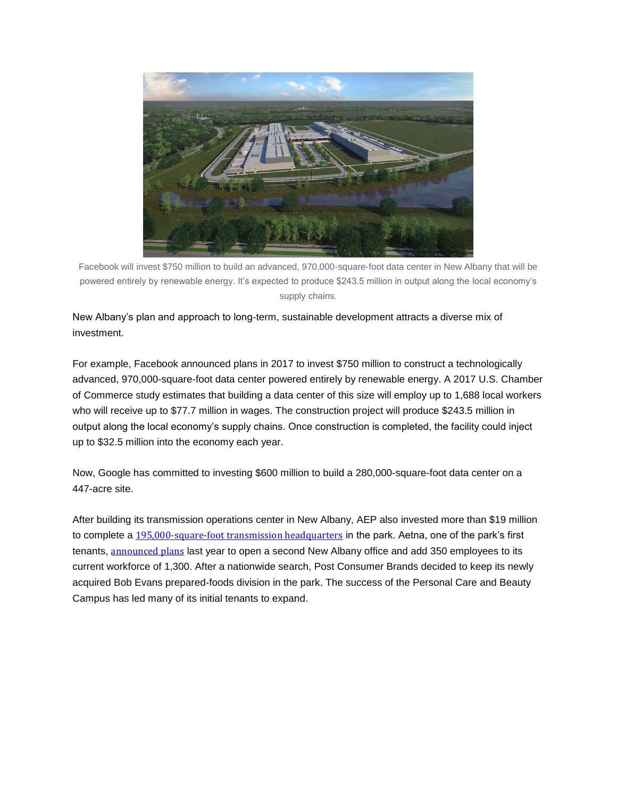

Facebook will invest \$750 million to build an advanced, 970,000-square-foot data center in New Albany that will be powered entirely by renewable energy. It's expected to produce \$243.5 million in output along the local economy's supply chains.

New Albany's plan and approach to long-term, sustainable development attracts a diverse mix of investment.

For example, Facebook announced plans in 2017 to invest \$750 million to construct a technologically advanced, 970,000-square-foot data center powered entirely by renewable energy. A 2017 U.S. Chamber of Commerce study estimates that building a data center of this size will employ up to 1,688 local workers who will receive up to \$77.7 million in wages. The construction project will produce \$243.5 million in output along the local economy's supply chains. Once construction is completed, the facility could inject up to \$32.5 million into the economy each year.

Now, Google has committed to investing \$600 million to build a 280,000-square-foot data center on a 447-acre site.

After building its transmission operations center in New Albany, AEP also invested more than \$19 million to complete a [195,000-square-foot](http://www.thisweeknews.com/content/stories/newalbany/news/2016/08/15/aeps-transmissions-headquarters-almost-complete.html) transmission headquarters in the park. Aetna, one of the park's first tenants, [announced](https://www.newalbanycompany.com/aetna-offered-tax-credits-for-expansion-that-would-add-350-jobs-in-new-albany/) plans last year to open a second New Albany office and add 350 employees to its current workforce of 1,300. After a nationwide search, Post Consumer Brands decided to keep its newly acquired Bob Evans prepared-foods division in the park. The success of the Personal Care and Beauty Campus has led many of its initial tenants to expand.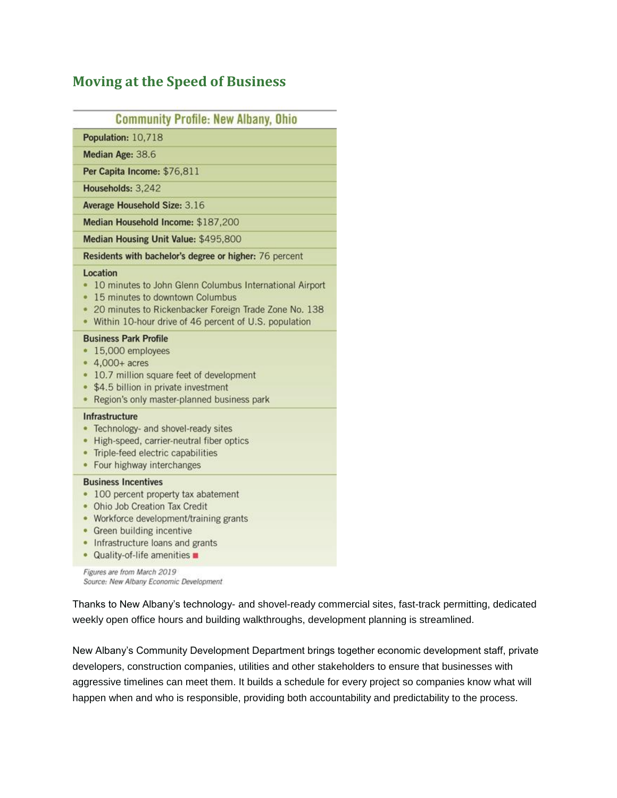### **Moving at the Speed of Business**

### **Community Profile: New Albany, Ohio**

Population: 10,718

Median Age: 38.6

Per Capita Income: \$76,811

Households: 3,242

Average Household Size: 3.16

Median Household Income: \$187,200

Median Housing Unit Value: \$495,800

Residents with bachelor's degree or higher: 76 percent

#### Location

- . 10 minutes to John Glenn Columbus International Airport
- 15 minutes to downtown Columbus
- . 20 minutes to Rickenbacker Foreign Trade Zone No. 138
- Within 10-hour drive of 46 percent of U.S. population

#### **Business Park Profile**

- 15,000 employees
- $\bullet$  4,000+ acres
- 10.7 million square feet of development
- \$4.5 billion in private investment
- Region's only master-planned business park

#### Infrastructure

- Technology- and shovel-ready sites
- High-speed, carrier-neutral fiber optics
- Triple-feed electric capabilities
- Four highway interchanges

#### **Business Incentives**

- 100 percent property tax abatement
- Ohio Job Creation Tax Credit
- Workforce development/training grants
- Green building incentive
- Infrastructure loans and grants
- Quality-of-life amenities

Figures are from March 2019 Source: New Albany Economic Development

Thanks to New Albany's technology- and shovel-ready commercial sites, fast-track permitting, dedicated weekly open office hours and building walkthroughs, development planning is streamlined.

New Albany's Community Development Department brings together economic development staff, private developers, construction companies, utilities and other stakeholders to ensure that businesses with aggressive timelines can meet them. It builds a schedule for every project so companies know what will happen when and who is responsible, providing both accountability and predictability to the process.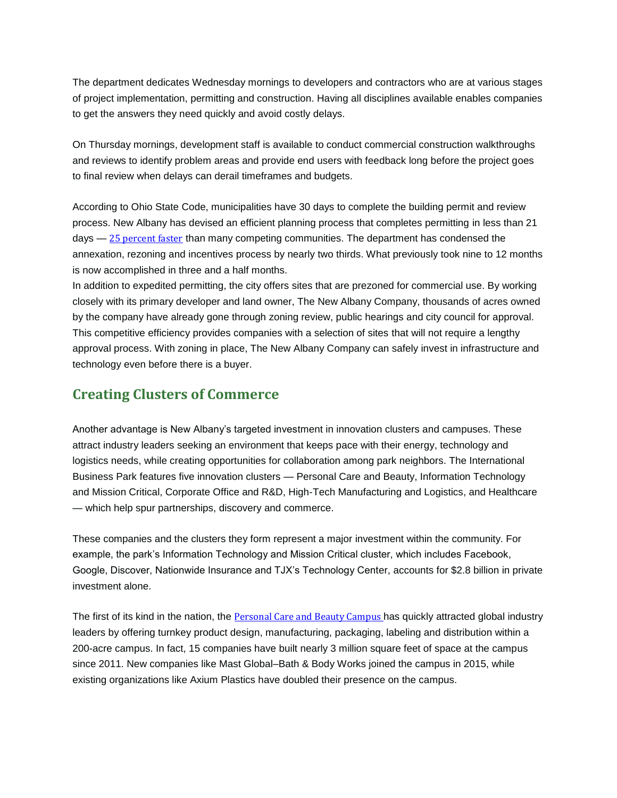The department dedicates Wednesday mornings to developers and contractors who are at various stages of project implementation, permitting and construction. Having all disciplines available enables companies to get the answers they need quickly and avoid costly delays.

On Thursday mornings, development staff is available to conduct commercial construction walkthroughs and reviews to identify problem areas and provide end users with feedback long before the project goes to final review when delays can derail timeframes and budgets.

According to Ohio State Code, municipalities have 30 days to complete the building permit and review process. New Albany has devised an efficient planning process that completes permitting in less than 21 days  $-25$  [percent](https://newalbanybusiness.org/news/2018/06/new-albany-international-business-park-overview-2018/) faster than many competing communities. The department has condensed the annexation, rezoning and incentives process by nearly two thirds. What previously took nine to 12 months is now accomplished in three and a half months.

In addition to expedited permitting, the city offers sites that are prezoned for commercial use. By working closely with its primary developer and land owner, The New Albany Company, thousands of acres owned by the company have already gone through zoning review, public hearings and city council for approval. This competitive efficiency provides companies with a selection of sites that will not require a lengthy approval process. With zoning in place, The New Albany Company can safely invest in infrastructure and technology even before there is a buyer.

# **Creating Clusters of Commerce**

Another advantage is New Albany's targeted investment in innovation clusters and campuses. These attract industry leaders seeking an environment that keeps pace with their energy, technology and logistics needs, while creating opportunities for collaboration among park neighbors. The International Business Park features five innovation clusters — Personal Care and Beauty, Information Technology and Mission Critical, Corporate Office and R&D, High-Tech Manufacturing and Logistics, and Healthcare — which help spur partnerships, discovery and commerce.

These companies and the clusters they form represent a major investment within the community. For example, the park's Information Technology and Mission Critical cluster, which includes Facebook, Google, Discover, Nationwide Insurance and TJX's Technology Center, accounts for \$2.8 billion in private investment alone.

The first of its kind in the nation, the [Personal](https://newalbanybusiness.org/why-new-albany/business-asset-case-studies/personal-care-and-beauty-campus/) Care and Beauty Campus has quickly attracted global industry leaders by offering turnkey product design, manufacturing, packaging, labeling and distribution within a 200-acre campus. In fact, 15 companies have built nearly 3 million square feet of space at the campus since 2011. New companies like Mast Global–Bath & Body Works joined the campus in 2015, while existing organizations like Axium Plastics have doubled their presence on the campus.